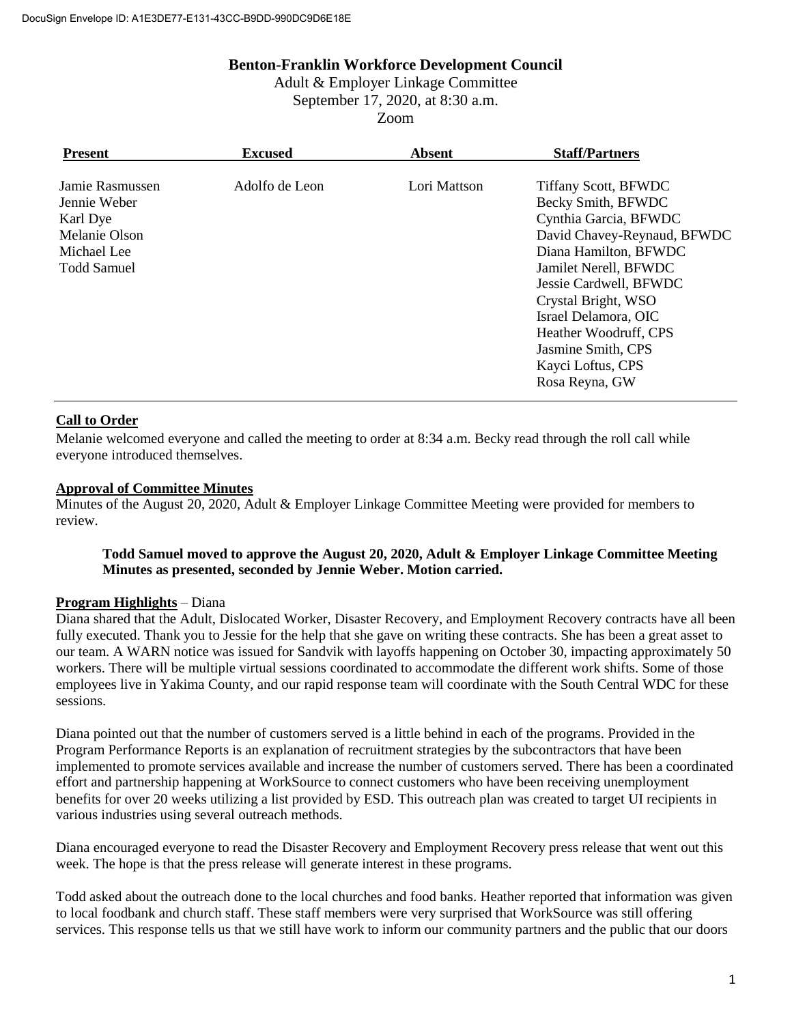## **Benton-Franklin Workforce Development Council**

Adult & Employer Linkage Committee September 17, 2020, at 8:30 a.m. Zoom

| <b>Present</b>                                                                                    | <b>Excused</b> | <b>Absent</b> | <b>Staff/Partners</b>                                                                                                                                                                                                                                                                                                      |
|---------------------------------------------------------------------------------------------------|----------------|---------------|----------------------------------------------------------------------------------------------------------------------------------------------------------------------------------------------------------------------------------------------------------------------------------------------------------------------------|
| Jamie Rasmussen<br>Jennie Weber<br>Karl Dye<br>Melanie Olson<br>Michael Lee<br><b>Todd Samuel</b> | Adolfo de Leon | Lori Mattson  | <b>Tiffany Scott, BFWDC</b><br>Becky Smith, BFWDC<br>Cynthia Garcia, BFWDC<br>David Chavey-Reynaud, BFWDC<br>Diana Hamilton, BFWDC<br>Jamilet Nerell, BFWDC<br>Jessie Cardwell, BFWDC<br>Crystal Bright, WSO<br>Israel Delamora, OIC<br>Heather Woodruff, CPS<br>Jasmine Smith, CPS<br>Kayci Loftus, CPS<br>Rosa Reyna, GW |
|                                                                                                   |                |               |                                                                                                                                                                                                                                                                                                                            |

#### **Call to Order**

Melanie welcomed everyone and called the meeting to order at 8:34 a.m. Becky read through the roll call while everyone introduced themselves.

#### **Approval of Committee Minutes**

Minutes of the August 20, 2020, Adult & Employer Linkage Committee Meeting were provided for members to review.

#### **Todd Samuel moved to approve the August 20, 2020, Adult & Employer Linkage Committee Meeting Minutes as presented, seconded by Jennie Weber. Motion carried.**

#### **Program Highlights** – Diana

Diana shared that the Adult, Dislocated Worker, Disaster Recovery, and Employment Recovery contracts have all been fully executed. Thank you to Jessie for the help that she gave on writing these contracts. She has been a great asset to our team. A WARN notice was issued for Sandvik with layoffs happening on October 30, impacting approximately 50 workers. There will be multiple virtual sessions coordinated to accommodate the different work shifts. Some of those employees live in Yakima County, and our rapid response team will coordinate with the South Central WDC for these sessions.

Diana pointed out that the number of customers served is a little behind in each of the programs. Provided in the Program Performance Reports is an explanation of recruitment strategies by the subcontractors that have been implemented to promote services available and increase the number of customers served. There has been a coordinated effort and partnership happening at WorkSource to connect customers who have been receiving unemployment benefits for over 20 weeks utilizing a list provided by ESD. This outreach plan was created to target UI recipients in various industries using several outreach methods.

Diana encouraged everyone to read the Disaster Recovery and Employment Recovery press release that went out this week. The hope is that the press release will generate interest in these programs.

Todd asked about the outreach done to the local churches and food banks. Heather reported that information was given to local foodbank and church staff. These staff members were very surprised that WorkSource was still offering services. This response tells us that we still have work to inform our community partners and the public that our doors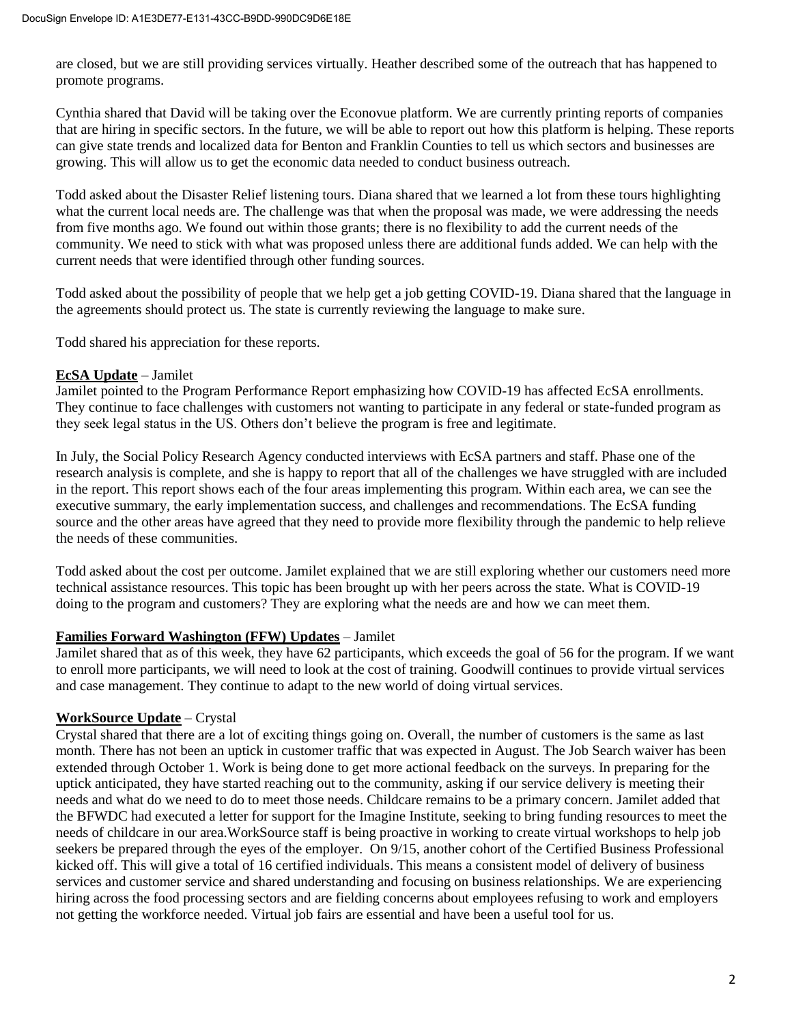are closed, but we are still providing services virtually. Heather described some of the outreach that has happened to promote programs.

Cynthia shared that David will be taking over the Econovue platform. We are currently printing reports of companies that are hiring in specific sectors. In the future, we will be able to report out how this platform is helping. These reports can give state trends and localized data for Benton and Franklin Counties to tell us which sectors and businesses are growing. This will allow us to get the economic data needed to conduct business outreach.

Todd asked about the Disaster Relief listening tours. Diana shared that we learned a lot from these tours highlighting what the current local needs are. The challenge was that when the proposal was made, we were addressing the needs from five months ago. We found out within those grants; there is no flexibility to add the current needs of the community. We need to stick with what was proposed unless there are additional funds added. We can help with the current needs that were identified through other funding sources.

Todd asked about the possibility of people that we help get a job getting COVID-19. Diana shared that the language in the agreements should protect us. The state is currently reviewing the language to make sure.

Todd shared his appreciation for these reports.

#### **EcSA Update** – Jamilet

Jamilet pointed to the Program Performance Report emphasizing how COVID-19 has affected EcSA enrollments. They continue to face challenges with customers not wanting to participate in any federal or state-funded program as they seek legal status in the US. Others don't believe the program is free and legitimate.

In July, the Social Policy Research Agency conducted interviews with EcSA partners and staff. Phase one of the research analysis is complete, and she is happy to report that all of the challenges we have struggled with are included in the report. This report shows each of the four areas implementing this program. Within each area, we can see the executive summary, the early implementation success, and challenges and recommendations. The EcSA funding source and the other areas have agreed that they need to provide more flexibility through the pandemic to help relieve the needs of these communities.

Todd asked about the cost per outcome. Jamilet explained that we are still exploring whether our customers need more technical assistance resources. This topic has been brought up with her peers across the state. What is COVID-19 doing to the program and customers? They are exploring what the needs are and how we can meet them.

## **Families Forward Washington (FFW) Updates** – Jamilet

Jamilet shared that as of this week, they have 62 participants, which exceeds the goal of 56 for the program. If we want to enroll more participants, we will need to look at the cost of training. Goodwill continues to provide virtual services and case management. They continue to adapt to the new world of doing virtual services.

## **WorkSource Update** – Crystal

Crystal shared that there are a lot of exciting things going on. Overall, the number of customers is the same as last month. There has not been an uptick in customer traffic that was expected in August. The Job Search waiver has been extended through October 1. Work is being done to get more actional feedback on the surveys. In preparing for the uptick anticipated, they have started reaching out to the community, asking if our service delivery is meeting their needs and what do we need to do to meet those needs. Childcare remains to be a primary concern. Jamilet added that the BFWDC had executed a letter for support for the Imagine Institute, seeking to bring funding resources to meet the needs of childcare in our area.WorkSource staff is being proactive in working to create virtual workshops to help job seekers be prepared through the eyes of the employer. On 9/15, another cohort of the Certified Business Professional kicked off. This will give a total of 16 certified individuals. This means a consistent model of delivery of business services and customer service and shared understanding and focusing on business relationships. We are experiencing hiring across the food processing sectors and are fielding concerns about employees refusing to work and employers not getting the workforce needed. Virtual job fairs are essential and have been a useful tool for us.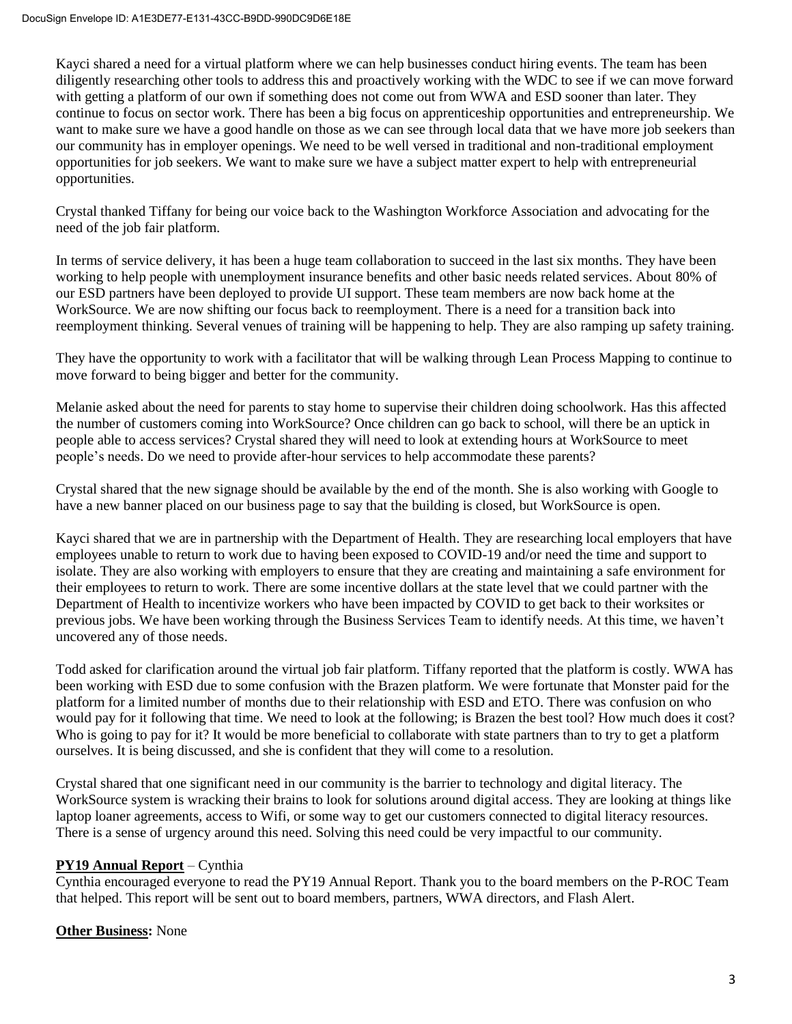Kayci shared a need for a virtual platform where we can help businesses conduct hiring events. The team has been diligently researching other tools to address this and proactively working with the WDC to see if we can move forward with getting a platform of our own if something does not come out from WWA and ESD sooner than later. They continue to focus on sector work. There has been a big focus on apprenticeship opportunities and entrepreneurship. We want to make sure we have a good handle on those as we can see through local data that we have more job seekers than our community has in employer openings. We need to be well versed in traditional and non-traditional employment opportunities for job seekers. We want to make sure we have a subject matter expert to help with entrepreneurial opportunities.

Crystal thanked Tiffany for being our voice back to the Washington Workforce Association and advocating for the need of the job fair platform.

In terms of service delivery, it has been a huge team collaboration to succeed in the last six months. They have been working to help people with unemployment insurance benefits and other basic needs related services. About 80% of our ESD partners have been deployed to provide UI support. These team members are now back home at the WorkSource. We are now shifting our focus back to reemployment. There is a need for a transition back into reemployment thinking. Several venues of training will be happening to help. They are also ramping up safety training.

They have the opportunity to work with a facilitator that will be walking through Lean Process Mapping to continue to move forward to being bigger and better for the community.

Melanie asked about the need for parents to stay home to supervise their children doing schoolwork. Has this affected the number of customers coming into WorkSource? Once children can go back to school, will there be an uptick in people able to access services? Crystal shared they will need to look at extending hours at WorkSource to meet people's needs. Do we need to provide after-hour services to help accommodate these parents?

Crystal shared that the new signage should be available by the end of the month. She is also working with Google to have a new banner placed on our business page to say that the building is closed, but WorkSource is open.

Kayci shared that we are in partnership with the Department of Health. They are researching local employers that have employees unable to return to work due to having been exposed to COVID-19 and/or need the time and support to isolate. They are also working with employers to ensure that they are creating and maintaining a safe environment for their employees to return to work. There are some incentive dollars at the state level that we could partner with the Department of Health to incentivize workers who have been impacted by COVID to get back to their worksites or previous jobs. We have been working through the Business Services Team to identify needs. At this time, we haven't uncovered any of those needs.

Todd asked for clarification around the virtual job fair platform. Tiffany reported that the platform is costly. WWA has been working with ESD due to some confusion with the Brazen platform. We were fortunate that Monster paid for the platform for a limited number of months due to their relationship with ESD and ETO. There was confusion on who would pay for it following that time. We need to look at the following; is Brazen the best tool? How much does it cost? Who is going to pay for it? It would be more beneficial to collaborate with state partners than to try to get a platform ourselves. It is being discussed, and she is confident that they will come to a resolution.

Crystal shared that one significant need in our community is the barrier to technology and digital literacy. The WorkSource system is wracking their brains to look for solutions around digital access. They are looking at things like laptop loaner agreements, access to Wifi, or some way to get our customers connected to digital literacy resources. There is a sense of urgency around this need. Solving this need could be very impactful to our community.

## **PY19 Annual Report** – Cynthia

Cynthia encouraged everyone to read the PY19 Annual Report. Thank you to the board members on the P-ROC Team that helped. This report will be sent out to board members, partners, WWA directors, and Flash Alert.

# **Other Business:** None